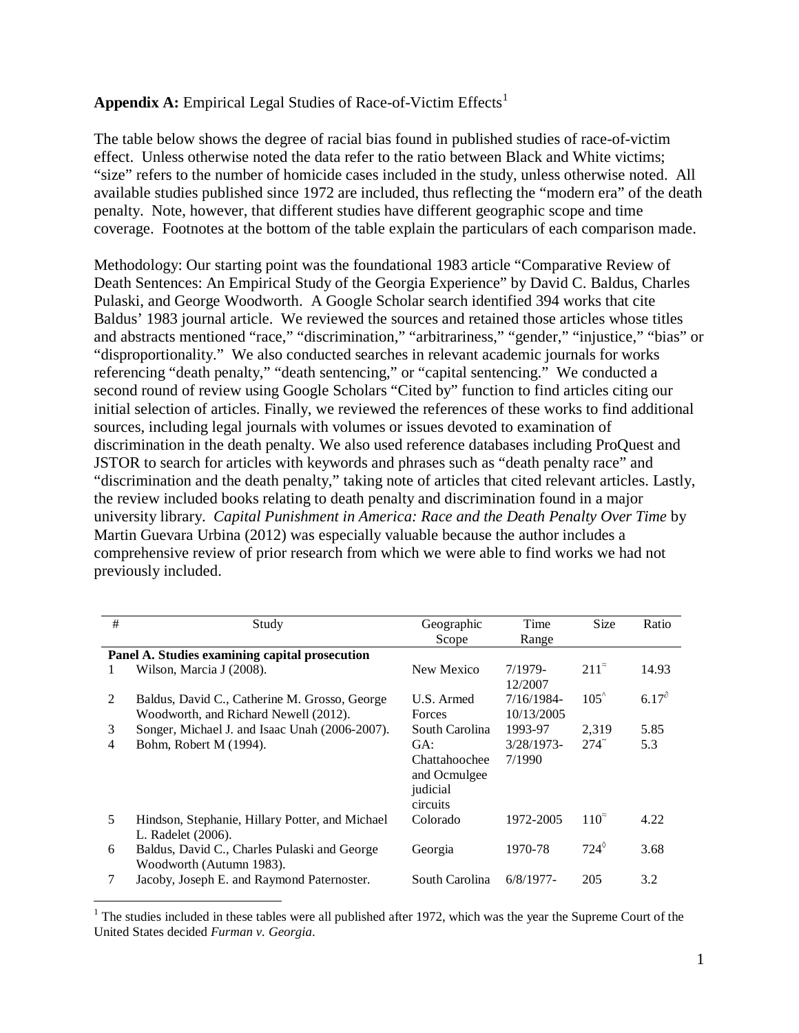## **Appendix A:** Empirical Legal Studies of Race-of-Victim Effects<sup>[1](#page-0-0)</sup>

The table below shows the degree of racial bias found in published studies of race-of-victim effect. Unless otherwise noted the data refer to the ratio between Black and White victims; "size" refers to the number of homicide cases included in the study, unless otherwise noted. All available studies published since 1972 are included, thus reflecting the "modern era" of the death penalty. Note, however, that different studies have different geographic scope and time coverage. Footnotes at the bottom of the table explain the particulars of each comparison made.

Methodology: Our starting point was the foundational 1983 article "Comparative Review of Death Sentences: An Empirical Study of the Georgia Experience" by David C. Baldus, Charles Pulaski, and George Woodworth. A Google Scholar search identified 394 works that cite Baldus' 1983 journal article. We reviewed the sources and retained those articles whose titles and abstracts mentioned "race," "discrimination," "arbitrariness," "gender," "injustice," "bias" or "disproportionality." We also conducted searches in relevant academic journals for works referencing "death penalty," "death sentencing," or "capital sentencing." We conducted a second round of review using Google Scholars "Cited by" function to find articles citing our initial selection of articles. Finally, we reviewed the references of these works to find additional sources, including legal journals with volumes or issues devoted to examination of discrimination in the death penalty. We also used reference databases including ProQuest and JSTOR to search for articles with keywords and phrases such as "death penalty race" and "discrimination and the death penalty," taking note of articles that cited relevant articles. Lastly, the review included books relating to death penalty and discrimination found in a major university library. *Capital Punishment in America: Race and the Death Penalty Over Time* by Martin Guevara Urbina (2012) was especially valuable because the author includes a comprehensive review of prior research from which we were able to find works we had not previously included.

| # | Study                                           | Geographic     | Time                 | <b>Size</b>      | Ratio        |
|---|-------------------------------------------------|----------------|----------------------|------------------|--------------|
|   |                                                 | Scope          | Range                |                  |              |
|   | Panel A. Studies examining capital prosecution  |                |                      |                  |              |
| 1 | Wilson, Marcia J (2008).                        | New Mexico     | $7/1979-$<br>12/2007 | $211^{\tilde{}}$ | 14.93        |
| 2 | Baldus, David C., Catherine M. Grosso, George   | U.S. Armed     | 7/16/1984-           | $105^{\circ}$    | $6.17^\circ$ |
|   | Woodworth, and Richard Newell (2012).           | <b>Forces</b>  | 10/13/2005           |                  |              |
| 3 | Songer, Michael J. and Isaac Unah (2006-2007).  | South Carolina | 1993-97              | 2,319            | 5.85         |
| 4 | Bohm, Robert M (1994).                          | GA:            | $3/28/1973$ -        | $274^\circ$      | 5.3          |
|   |                                                 | Chattahoochee  | 7/1990               |                  |              |
|   |                                                 | and Ocmulgee   |                      |                  |              |
|   |                                                 | judicial       |                      |                  |              |
|   |                                                 | circuits       |                      |                  |              |
| 5 | Hindson, Stephanie, Hillary Potter, and Michael | Colorado       | 1972-2005            | $110^{\tilde{}}$ | 4.22         |
|   | L. Radelet (2006).                              |                |                      |                  |              |
| 6 | Baldus, David C., Charles Pulaski and George    | Georgia        | 1970-78              | $724^\circ$      | 3.68         |
|   | Woodworth (Autumn 1983).                        |                |                      |                  |              |
|   | Jacoby, Joseph E. and Raymond Paternoster.      | South Carolina | $6/8/1977$ -         | 205              | 3.2          |

<span id="page-0-0"></span> $1$ <sup>1</sup> The studies included in these tables were all published after 1972, which was the year the Supreme Court of the United States decided *Furman v. Georgia*.

 $\overline{a}$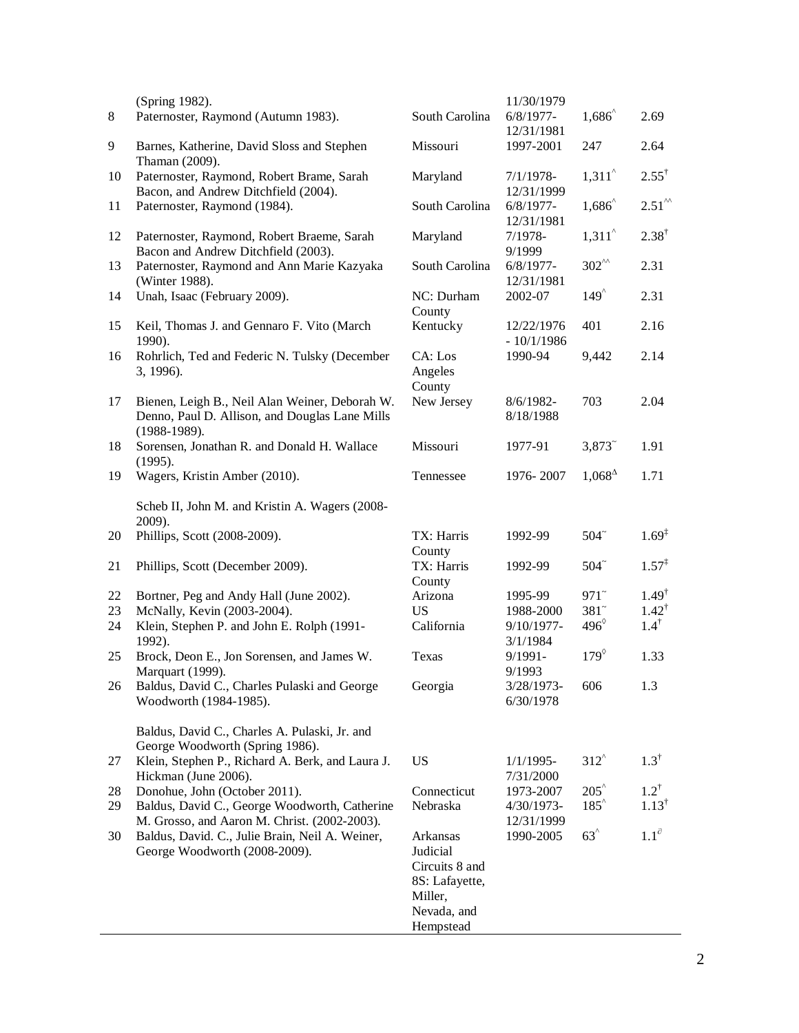|       | (Spring 1982).                                                                                                     |                                                                                                 | 11/30/1979                 |                      |                     |
|-------|--------------------------------------------------------------------------------------------------------------------|-------------------------------------------------------------------------------------------------|----------------------------|----------------------|---------------------|
| $8\,$ | Paternoster, Raymond (Autumn 1983).                                                                                | South Carolina                                                                                  | $6/8/1977$ -               | $1,686^{\degree}$    | 2.69                |
| 9     | Barnes, Katherine, David Sloss and Stephen<br>Thaman (2009).                                                       | Missouri                                                                                        | 12/31/1981<br>1997-2001    | 247                  | 2.64                |
| 10    | Paternoster, Raymond, Robert Brame, Sarah<br>Bacon, and Andrew Ditchfield (2004).                                  | Maryland                                                                                        | $7/1/1978-$<br>12/31/1999  | $1,311^{\circ}$      | $2.55^{\dagger}$    |
| 11    | Paternoster, Raymond (1984).                                                                                       | South Carolina                                                                                  | $6/8/1977$ -<br>12/31/1981 | $1,686^{\circ}$      | $2.51^{\circ\circ}$ |
| 12    | Paternoster, Raymond, Robert Braeme, Sarah<br>Bacon and Andrew Ditchfield (2003).                                  | Maryland                                                                                        | $7/1978-$<br>9/1999        | $1,311^{\circ}$      | $2.38^{\dagger}$    |
| 13    | Paternoster, Raymond and Ann Marie Kazyaka<br>(Winter 1988).                                                       | South Carolina                                                                                  | $6/8/1977$ -<br>12/31/1981 | $302^{''\text{}}$    | 2.31                |
| 14    | Unah, Isaac (February 2009).                                                                                       | NC: Durham<br>County                                                                            | 2002-07                    | $149^{\circ}$        | 2.31                |
| 15    | Keil, Thomas J. and Gennaro F. Vito (March<br>1990).                                                               | Kentucky                                                                                        | 12/22/1976<br>$-10/1/1986$ | 401                  | 2.16                |
| 16    | Rohrlich, Ted and Federic N. Tulsky (December<br>3, 1996).                                                         | CA: Los<br>Angeles<br>County                                                                    | 1990-94                    | 9,442                | 2.14                |
| 17    | Bienen, Leigh B., Neil Alan Weiner, Deborah W.<br>Denno, Paul D. Allison, and Douglas Lane Mills<br>$(1988-1989).$ | New Jersey                                                                                      | 8/6/1982-<br>8/18/1988     | 703                  | 2.04                |
| 18    | Sorensen, Jonathan R. and Donald H. Wallace<br>(1995).                                                             | Missouri                                                                                        | 1977-91                    | $3,873$ <sup>~</sup> | 1.91                |
| 19    | Wagers, Kristin Amber (2010).                                                                                      | Tennessee                                                                                       | 1976-2007                  | $1,068^{\Delta}$     | 1.71                |
|       | Scheb II, John M. and Kristin A. Wagers (2008-<br>2009).                                                           |                                                                                                 |                            |                      |                     |
| 20    | Phillips, Scott (2008-2009).                                                                                       | TX: Harris<br>County                                                                            | 1992-99                    | $504^\circ$          | $1.69^{\ddagger}$   |
| 21    | Phillips, Scott (December 2009).                                                                                   | TX: Harris<br>County                                                                            | 1992-99                    | $504^\circ$          | $1.57^{\ddagger}$   |
| 22    | Bortner, Peg and Andy Hall (June 2002).                                                                            | Arizona                                                                                         | 1995-99                    | $971$ <sup>~</sup>   | $1.49^{\dagger}$    |
| 23    | McNally, Kevin (2003-2004).                                                                                        | <b>US</b>                                                                                       | 1988-2000                  | $381$ <sup>~</sup>   | $1.42^{\dagger}$    |
| 24    | Klein, Stephen P. and John E. Rolph (1991-<br>1992).                                                               | California                                                                                      | 9/10/1977-<br>3/1/1984     | $496^{\circ}$        | $1.4^{\dagger}$     |
| 25    | Brock, Deon E., Jon Sorensen, and James W.<br>Marquart (1999).                                                     | Texas                                                                                           | $9/1991-$<br>9/1993        | $179^\circ$          | 1.33                |
| 26    | Baldus, David C., Charles Pulaski and George<br>Woodworth (1984-1985).                                             | Georgia                                                                                         | 3/28/1973-<br>6/30/1978    | 606                  | 1.3                 |
|       | Baldus, David C., Charles A. Pulaski, Jr. and<br>George Woodworth (Spring 1986).                                   |                                                                                                 |                            |                      |                     |
| 27    | Klein, Stephen P., Richard A. Berk, and Laura J.<br>Hickman (June 2006).                                           | <b>US</b>                                                                                       | $1/1/1995-$<br>7/31/2000   | $312^{\circ}$        | $1.3^{\dagger}$     |
| 28    | Donohue, John (October 2011).                                                                                      | Connecticut                                                                                     | 1973-2007                  | $205^{\circ}$        | $1.2^{\dagger}$     |
| 29    | Baldus, David C., George Woodworth, Catherine<br>M. Grosso, and Aaron M. Christ. (2002-2003).                      | Nebraska                                                                                        | 4/30/1973-<br>12/31/1999   | $185^{\circ}$        | $1.13^{\dagger}$    |
| 30    | Baldus, David. C., Julie Brain, Neil A. Weiner,<br>George Woodworth (2008-2009).                                   | Arkansas<br>Judicial<br>Circuits 8 and<br>8S: Lafayette,<br>Miller,<br>Nevada, and<br>Hempstead | 1990-2005                  | $63^{\circ}$         | $1.1^\partial$      |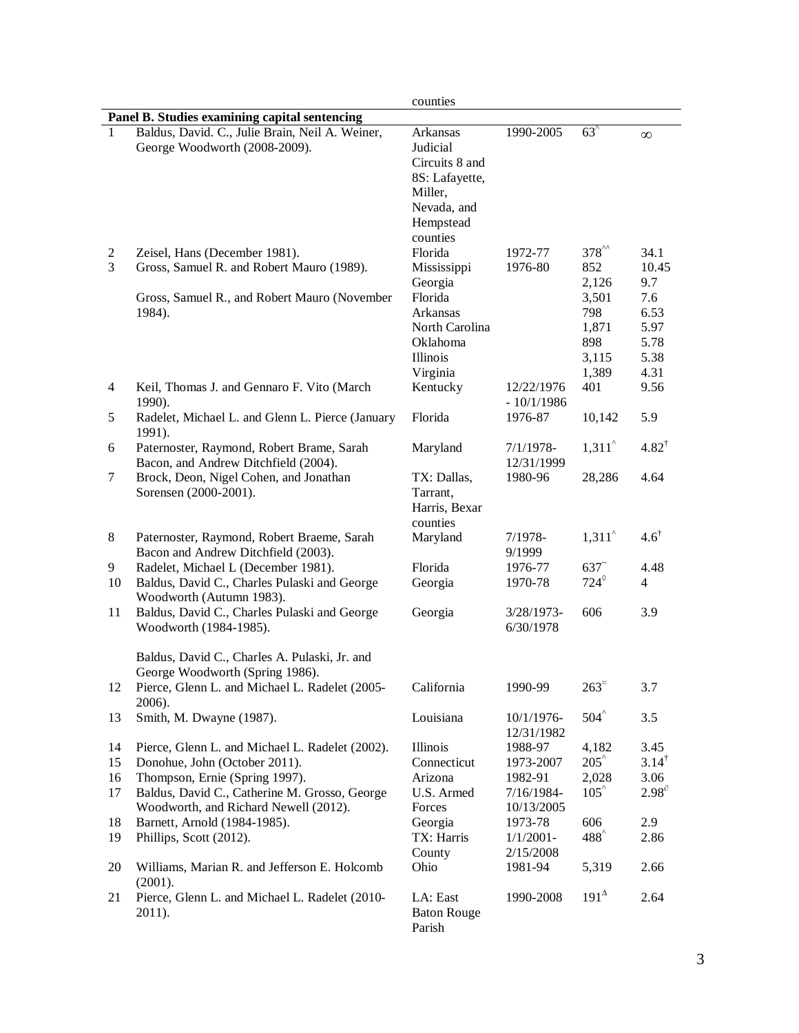|              |                                                                                                                 | counties                                                                                                    |                            |                                                      |                                             |  |  |
|--------------|-----------------------------------------------------------------------------------------------------------------|-------------------------------------------------------------------------------------------------------------|----------------------------|------------------------------------------------------|---------------------------------------------|--|--|
|              | Panel B. Studies examining capital sentencing                                                                   |                                                                                                             |                            |                                                      |                                             |  |  |
| $\mathbf{1}$ | Baldus, David. C., Julie Brain, Neil A. Weiner,<br>George Woodworth (2008-2009).                                | Arkansas<br>Judicial<br>Circuits 8 and<br>8S: Lafayette,<br>Miller,<br>Nevada, and<br>Hempstead<br>counties | 1990-2005                  | $63^{\degree}$                                       | $\infty$                                    |  |  |
| 2<br>3       | Zeisel, Hans (December 1981).<br>Gross, Samuel R. and Robert Mauro (1989).                                      | Florida<br>Mississippi<br>Georgia                                                                           | 1972-77<br>1976-80         | $378^{^{\wedge\wedge}}$<br>852<br>2,126              | 34.1<br>10.45<br>9.7                        |  |  |
|              | Gross, Samuel R., and Robert Mauro (November<br>1984).                                                          | Florida<br>Arkansas<br>North Carolina<br>Oklahoma<br>Illinois<br>Virginia                                   |                            | 3,501<br>798<br>1,871<br>898<br>3,115<br>1,389       | 7.6<br>6.53<br>5.97<br>5.78<br>5.38<br>4.31 |  |  |
| 4            | Keil, Thomas J. and Gennaro F. Vito (March<br>1990).                                                            | Kentucky                                                                                                    | 12/22/1976<br>$-10/1/1986$ | 401                                                  | 9.56                                        |  |  |
| 5            | Radelet, Michael L. and Glenn L. Pierce (January<br>1991).                                                      | Florida                                                                                                     | 1976-87                    | 10,142                                               | 5.9                                         |  |  |
| 6            | Paternoster, Raymond, Robert Brame, Sarah<br>Bacon, and Andrew Ditchfield (2004).                               | Maryland                                                                                                    | $7/1/1978-$<br>12/31/1999  | $1,311^{\circ}$                                      | $4.82^{\dagger}$                            |  |  |
| 7            | Brock, Deon, Nigel Cohen, and Jonathan<br>Sorensen (2000-2001).                                                 | TX: Dallas,<br>Tarrant,<br>Harris, Bexar<br>counties                                                        | 1980-96                    | 28,286                                               | 4.64                                        |  |  |
| 8            | Paternoster, Raymond, Robert Braeme, Sarah<br>Bacon and Andrew Ditchfield (2003).                               | Maryland                                                                                                    | $7/1978-$<br>9/1999        | 1,311                                                | $4.6^{\dagger}$                             |  |  |
| 9<br>10      | Radelet, Michael L (December 1981).<br>Baldus, David C., Charles Pulaski and George<br>Woodworth (Autumn 1983). | Florida<br>Georgia                                                                                          | 1976-77<br>1970-78         | $637$ <sup><math>\degree</math></sup><br>$724^\circ$ | 4.48<br>$\overline{4}$                      |  |  |
| 11           | Baldus, David C., Charles Pulaski and George<br>Woodworth (1984-1985).                                          | Georgia                                                                                                     | 3/28/1973-<br>6/30/1978    | 606                                                  | 3.9                                         |  |  |
|              | Baldus, David C., Charles A. Pulaski, Jr. and<br>George Woodworth (Spring 1986).                                |                                                                                                             |                            |                                                      |                                             |  |  |
| 12           | Pierce, Glenn L. and Michael L. Radelet (2005-<br>2006).                                                        | California                                                                                                  | 1990-99                    | $263^{\circ}$                                        | 3.7                                         |  |  |
| 13           | Smith, M. Dwayne (1987).                                                                                        | Louisiana                                                                                                   | 10/1/1976-<br>12/31/1982   | $504^{\degree}$                                      | 3.5                                         |  |  |
| 14           | Pierce, Glenn L. and Michael L. Radelet (2002).                                                                 | Illinois                                                                                                    | 1988-97                    | 4,182                                                | 3.45                                        |  |  |
| 15           | Donohue, John (October 2011).                                                                                   | Connecticut                                                                                                 | 1973-2007                  | $205^{\circ}$                                        | $3.14^{\dagger}$                            |  |  |
| 16           | Thompson, Ernie (Spring 1997).                                                                                  | Arizona                                                                                                     | 1982-91                    | 2,028                                                | 3.06                                        |  |  |
| 17           | Baldus, David C., Catherine M. Grosso, George<br>Woodworth, and Richard Newell (2012).                          | U.S. Armed<br>Forces                                                                                        | 7/16/1984-<br>10/13/2005   | $105^{\circ}$                                        | $2.98^{\circ}$                              |  |  |
| 18           | Barnett, Arnold (1984-1985).                                                                                    | Georgia                                                                                                     | 1973-78                    | 606                                                  | 2.9                                         |  |  |
| 19           | Phillips, Scott (2012).                                                                                         | TX: Harris<br>County                                                                                        | $1/1/2001 -$<br>2/15/2008  | 488 <sup>^</sup>                                     | 2.86                                        |  |  |
| 20           | Williams, Marian R. and Jefferson E. Holcomb<br>(2001).                                                         | Ohio                                                                                                        | 1981-94                    | 5,319                                                | 2.66                                        |  |  |
| 21           | Pierce, Glenn L. and Michael L. Radelet (2010-<br>2011).                                                        | LA: East<br><b>Baton Rouge</b><br>Parish                                                                    | 1990-2008                  | $191^{\Delta}$                                       | 2.64                                        |  |  |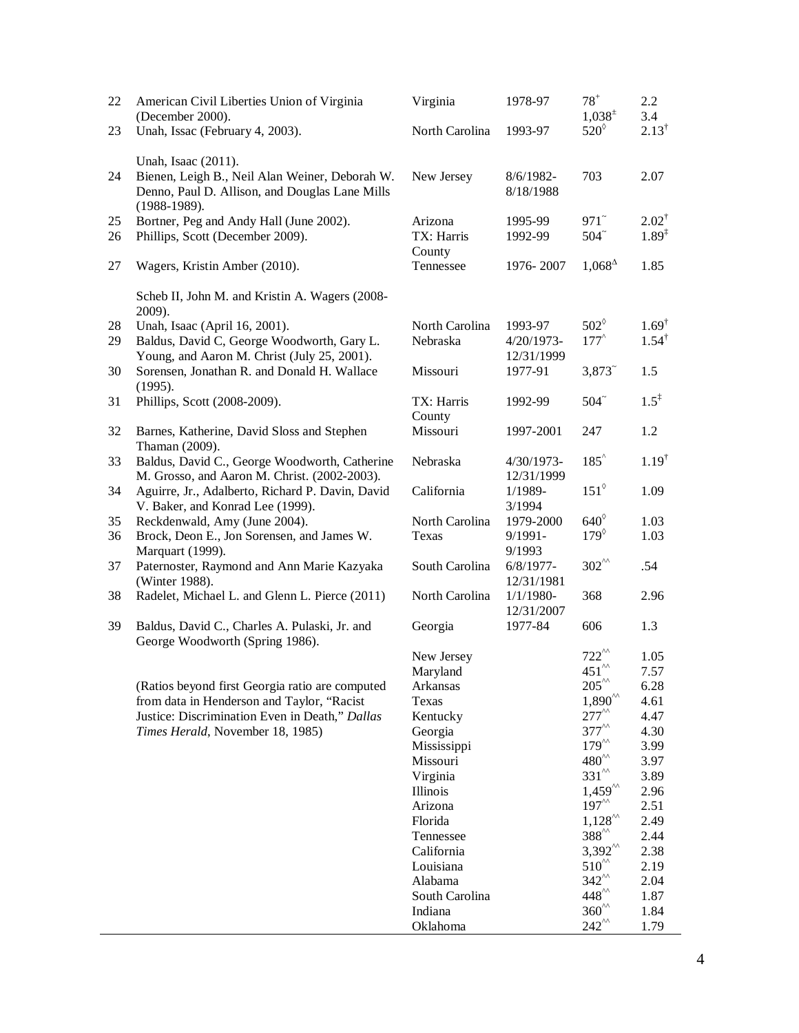| 22 | American Civil Liberties Union of Virginia<br>(December 2000).                                                                            | Virginia                  | 1978-97                    | $78^{+}$<br>$1,038^{\pm}$                           | $2.2^{\circ}$<br>3.4 |
|----|-------------------------------------------------------------------------------------------------------------------------------------------|---------------------------|----------------------------|-----------------------------------------------------|----------------------|
| 23 | Unah, Issac (February 4, 2003).                                                                                                           | North Carolina            | 1993-97                    | $520^\circ$                                         | $2.13^{\dagger}$     |
| 24 | Unah, Isaac (2011).<br>Bienen, Leigh B., Neil Alan Weiner, Deborah W.<br>Denno, Paul D. Allison, and Douglas Lane Mills<br>$(1988-1989).$ | New Jersey                | 8/6/1982-<br>8/18/1988     | 703                                                 | 2.07                 |
| 25 | Bortner, Peg and Andy Hall (June 2002).                                                                                                   | Arizona                   | 1995-99                    | $971$ <sup>~</sup>                                  | $2.02^{\dagger}$     |
| 26 | Phillips, Scott (December 2009).                                                                                                          | TX: Harris                | 1992-99                    | $504^\circ$                                         | $1.89^{1}$           |
| 27 | Wagers, Kristin Amber (2010).                                                                                                             | County<br>Tennessee       | 1976-2007                  | $1,068^{\Delta}$                                    | 1.85                 |
|    | Scheb II, John M. and Kristin A. Wagers (2008-<br>2009).                                                                                  |                           |                            |                                                     |                      |
| 28 | Unah, Isaac (April 16, 2001).                                                                                                             | North Carolina            | 1993-97                    | $502^{\circ}$                                       | $1.69^{\dagger}$     |
| 29 | Baldus, David C, George Woodworth, Gary L.<br>Young, and Aaron M. Christ (July 25, 2001).                                                 | Nebraska                  | $4/20/1973-$<br>12/31/1999 | $177^{\circ}$                                       | $1.54^{\dagger}$     |
| 30 | Sorensen, Jonathan R. and Donald H. Wallace                                                                                               | Missouri                  | 1977-91                    | $3,873$ <sup>~</sup>                                | 1.5                  |
|    | (1995).                                                                                                                                   |                           |                            |                                                     |                      |
| 31 | Phillips, Scott (2008-2009).                                                                                                              | TX: Harris<br>County      | 1992-99                    | $504^\circ$                                         | $1.5^{\ddagger}$     |
| 32 | Barnes, Katherine, David Sloss and Stephen<br>Thaman (2009).                                                                              | Missouri                  | 1997-2001                  | 247                                                 | 1.2                  |
| 33 | Baldus, David C., George Woodworth, Catherine                                                                                             | Nebraska                  | 4/30/1973-                 | $185^{\circ}$                                       | $1.19^{\dagger}$     |
| 34 | M. Grosso, and Aaron M. Christ. (2002-2003).                                                                                              |                           | 12/31/1999                 | $151^{\circ}$                                       | 1.09                 |
|    | Aguirre, Jr., Adalberto, Richard P. Davin, David<br>V. Baker, and Konrad Lee (1999).                                                      | California                | 1/1989-<br>3/1994          |                                                     |                      |
| 35 | Reckdenwald, Amy (June 2004).                                                                                                             | North Carolina            | 1979-2000                  | $640^\circ$                                         | 1.03                 |
| 36 | Brock, Deon E., Jon Sorensen, and James W.<br>Marquart (1999).                                                                            | Texas                     | $9/1991-$<br>9/1993        | $179^\circ$                                         | 1.03                 |
| 37 | Paternoster, Raymond and Ann Marie Kazyaka                                                                                                | South Carolina            | $6/8/1977$ -               | $302^{''\text{}}$                                   | .54                  |
|    | (Winter 1988).                                                                                                                            |                           | 12/31/1981                 |                                                     |                      |
| 38 | Radelet, Michael L. and Glenn L. Pierce (2011)                                                                                            | North Carolina            | $1/1/1980-$<br>12/31/2007  | 368                                                 | 2.96                 |
| 39 | Baldus, David C., Charles A. Pulaski, Jr. and<br>George Woodworth (Spring 1986).                                                          | Georgia                   | 1977-84                    | 606                                                 | 1.3                  |
|    |                                                                                                                                           | New Jersey                |                            | $722^{\prime\prime}$                                | 1.05                 |
|    |                                                                                                                                           | Maryland                  |                            | $451^{^{\prime\prime} }$<br>$205^{^{\wedge\wedge}}$ | 7.57                 |
|    | (Ratios beyond first Georgia ratio are computed<br>from data in Henderson and Taylor, "Racist                                             | Arkansas<br>Texas         |                            | $1{,}890^{''}$                                      | 6.28                 |
|    | Justice: Discrimination Even in Death," Dallas                                                                                            | Kentucky                  |                            | $277^{\prime\prime}$                                | 4.61<br>4.47         |
|    | Times Herald, November 18, 1985)                                                                                                          | Georgia                   |                            | $377^{^{\wedge\wedge}}$                             | 4.30                 |
|    |                                                                                                                                           | Mississippi               |                            | $179^{''}$                                          | 3.99                 |
|    |                                                                                                                                           | Missouri                  |                            | $480^{''\text{}}$                                   | 3.97                 |
|    |                                                                                                                                           | Virginia                  |                            | $331^{^{\prime\prime} }$                            | 3.89                 |
|    |                                                                                                                                           | Illinois                  |                            | $1,459^{\prime\prime}$                              | 2.96                 |
|    |                                                                                                                                           | Arizona                   |                            | $197^{\prime\prime}$                                | 2.51                 |
|    |                                                                                                                                           | Florida                   |                            | $1,128^{\prime\prime}$                              | 2.49                 |
|    |                                                                                                                                           | Tennessee                 |                            | 388 <sup>^^</sup>                                   | 2.44                 |
|    |                                                                                                                                           | California                |                            | $3,392^{\prime\prime}$<br>$510^{11}$                | 2.38                 |
|    |                                                                                                                                           | Louisiana                 |                            | $342^{^{\wedge\wedge}}$                             | 2.19                 |
|    |                                                                                                                                           | Alabama<br>South Carolina |                            | $448^{\prime\prime}$                                | 2.04<br>1.87         |
|    |                                                                                                                                           | Indiana                   |                            | $360^{''}$                                          | 1.84                 |
|    |                                                                                                                                           | Oklahoma                  |                            | $242^{\circ}$                                       | 1.79                 |
|    |                                                                                                                                           |                           |                            |                                                     |                      |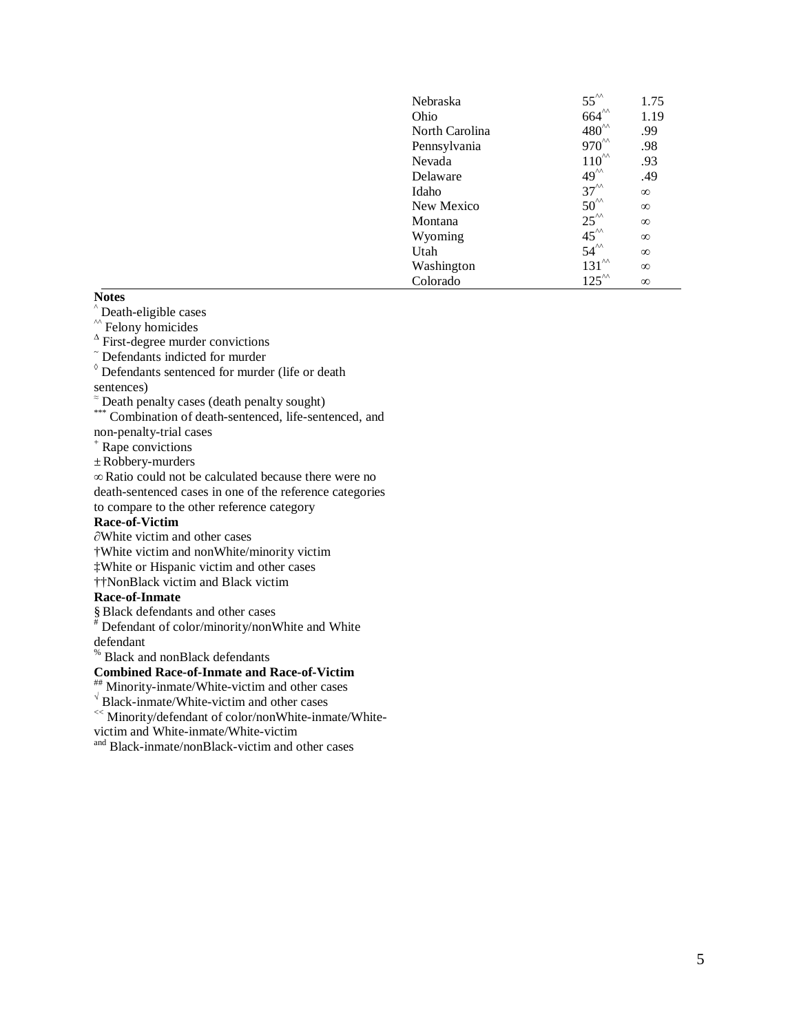| Nebraska       | $55^{\circ}$<br>664 $\circ$ | 1.75     |
|----------------|-----------------------------|----------|
| Ohio           |                             | 1.19     |
| North Carolina | $480^{\prime\prime}$        | .99      |
| Pennsylvania   | $970^{\prime\prime}$        | .98      |
| Nevada         | $110^{''\text{}}$           | .93      |
| Delaware       | $49^{\prime\prime}$         | .49      |
| Idaho          | $37^{'''}$                  | $\infty$ |
| New Mexico     | $50^{\prime\prime}$         | $\infty$ |
| Montana        | $25^{\prime\prime}$         | $\infty$ |
| Wyoming        | $45^{\prime\prime}$         | $\infty$ |
| Utah           | $54^{\prime\prime}$         | $\infty$ |
| Washington     | $131^{\prime\prime}$        | $\infty$ |
| Colorado       | $125^{\prime\prime}$        | $\infty$ |
|                |                             |          |

### **Notes**

- 
- 
- ^ Death-eligible cases<br>^^ Felony homicides<br> $\triangle$  First-degree murder convictions
- $\tilde{\phantom{a}}$  Defendants indicted for murder
- $\delta$  Defendants sentenced for murder (life or death sentences)
- <sup>≈</sup> Death penalty cases (death penalty sought)
- \*\*\* Combination of death-sentenced, life-sentenced, and non-penalty-trial cases<br>+ Rape convictions
- 
- ±Robbery-murders
- ∞ Ratio could not be calculated because there were no death-sentenced cases in one of the reference categories to compare to the other reference category

#### **Race-of-Victim**

- ∂White victim and other cases
- †White victim and nonWhite/minority victim
- ‡White or Hispanic victim and other cases
- ††NonBlack victim and Black victim

- **Race-of-Inmate**<br>§ Black defendants and other cases
- $\textsuperscript{\#}$  Defendant of color/minority/nonWhite and White
- defendant
- 

# <sup>%</sup> Black and nonBlack defendants<br>Combined Race-of-Inmate and Race-of-Victim

- **Combined Race-Off-Induced Race-of-Inmate/White-victim and other cases**<br>Black-inmate/White-victim and other cases
- 
- <sup>«</sup>Minority/defendant of color/nonWhite-inmate/White-
- victim and White-inmate/White-victim
- and Black-inmate/nonBlack-victim and other cases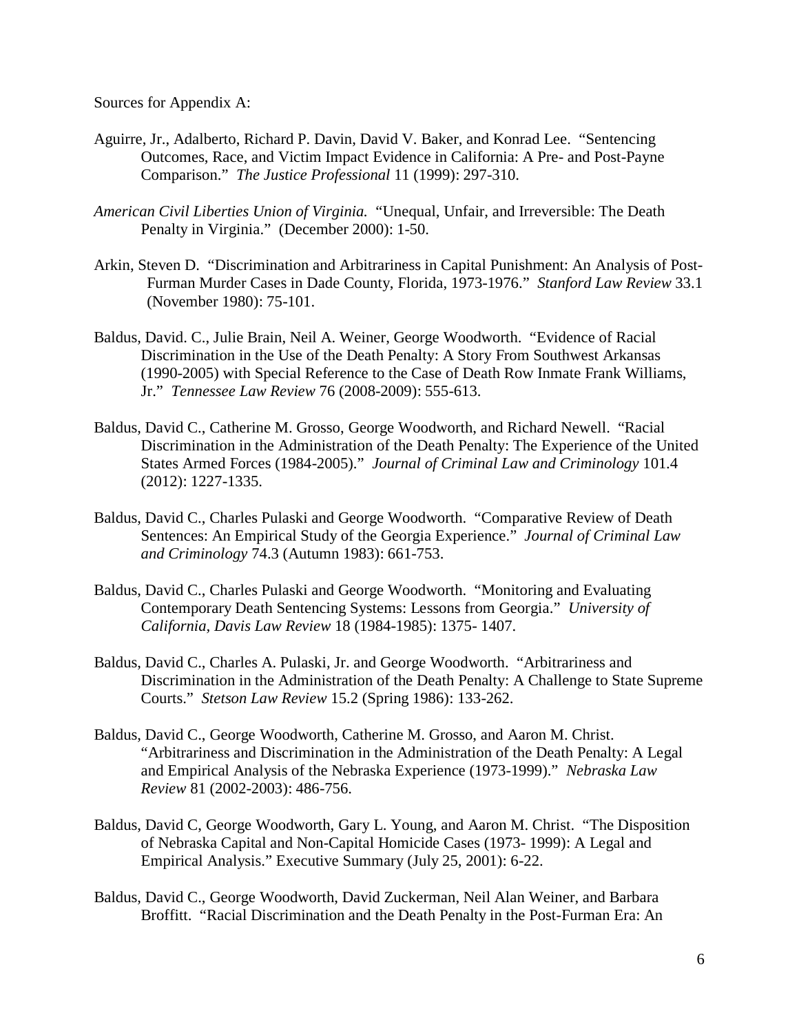Sources for Appendix A:

- Aguirre, Jr., Adalberto, Richard P. Davin, David V. Baker, and Konrad Lee. "Sentencing Outcomes, Race, and Victim Impact Evidence in California: A Pre- and Post-Payne Comparison." *The Justice Professional* 11 (1999): 297-310.
- *American Civil Liberties Union of Virginia.* "Unequal, Unfair, and Irreversible: The Death Penalty in Virginia." (December 2000): 1-50.
- Arkin, Steven D. "Discrimination and Arbitrariness in Capital Punishment: An Analysis of Post-Furman Murder Cases in Dade County, Florida, 1973-1976." *Stanford Law Review* 33.1 (November 1980): 75-101.
- Baldus, David. C., Julie Brain, Neil A. Weiner, George Woodworth. "Evidence of Racial Discrimination in the Use of the Death Penalty: A Story From Southwest Arkansas (1990-2005) with Special Reference to the Case of Death Row Inmate Frank Williams, Jr." *Tennessee Law Review* 76 (2008-2009): 555-613.
- Baldus, David C., Catherine M. Grosso, George Woodworth, and Richard Newell. "Racial Discrimination in the Administration of the Death Penalty: The Experience of the United States Armed Forces (1984-2005)." *Journal of Criminal Law and Criminology* 101.4 (2012): 1227-1335.
- Baldus, David C., Charles Pulaski and George Woodworth. "Comparative Review of Death Sentences: An Empirical Study of the Georgia Experience." *Journal of Criminal Law and Criminology* 74.3 (Autumn 1983): 661-753.
- Baldus, David C., Charles Pulaski and George Woodworth. "Monitoring and Evaluating Contemporary Death Sentencing Systems: Lessons from Georgia." *University of California, Davis Law Review* 18 (1984-1985): 1375- 1407.
- Baldus, David C., Charles A. Pulaski, Jr. and George Woodworth. "Arbitrariness and Discrimination in the Administration of the Death Penalty: A Challenge to State Supreme Courts." *Stetson Law Review* 15.2 (Spring 1986): 133-262.
- Baldus, David C., George Woodworth, Catherine M. Grosso, and Aaron M. Christ. "Arbitrariness and Discrimination in the Administration of the Death Penalty: A Legal and Empirical Analysis of the Nebraska Experience (1973-1999)." *Nebraska Law Review* 81 (2002-2003): 486-756.
- Baldus, David C, George Woodworth, Gary L. Young, and Aaron M. Christ. "The Disposition of Nebraska Capital and Non-Capital Homicide Cases (1973- 1999): A Legal and Empirical Analysis." Executive Summary (July 25, 2001): 6-22.
- Baldus, David C., George Woodworth, David Zuckerman, Neil Alan Weiner, and Barbara Broffitt. "Racial Discrimination and the Death Penalty in the Post-Furman Era: An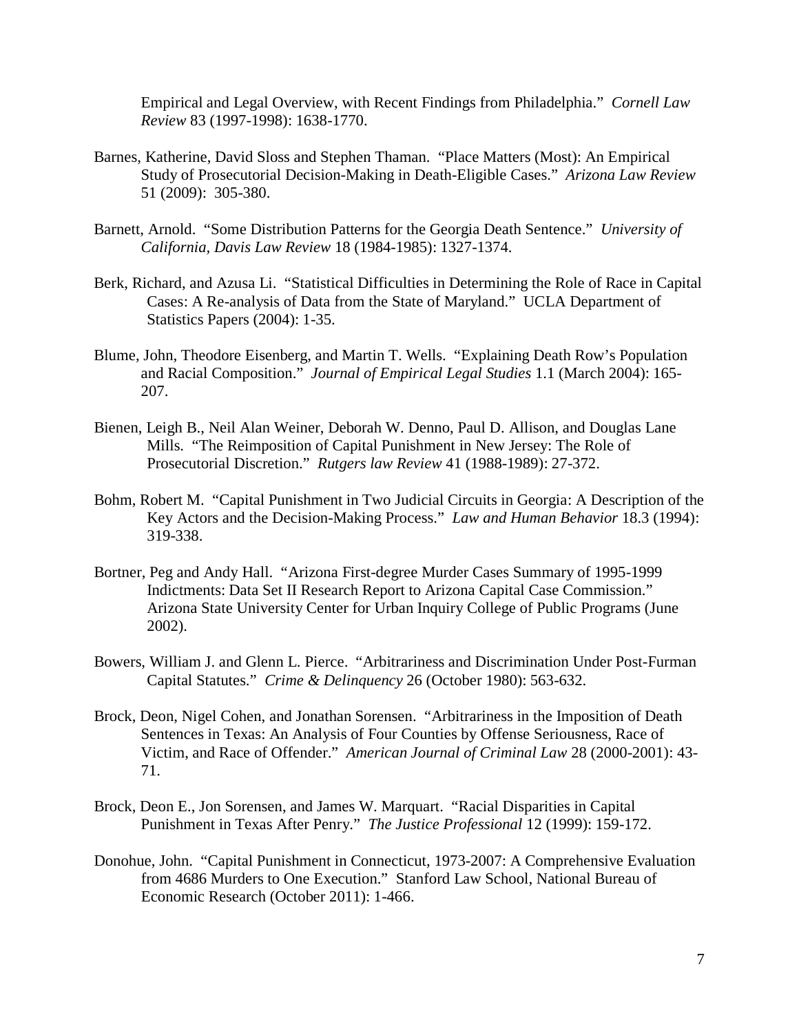Empirical and Legal Overview, with Recent Findings from Philadelphia." *Cornell Law Review* 83 (1997-1998): 1638-1770.

- Barnes, Katherine, David Sloss and Stephen Thaman. "Place Matters (Most): An Empirical Study of Prosecutorial Decision-Making in Death-Eligible Cases." *Arizona Law Review* 51 (2009): 305-380.
- Barnett, Arnold. "Some Distribution Patterns for the Georgia Death Sentence." *University of California, Davis Law Review* 18 (1984-1985): 1327-1374.
- Berk, Richard, and Azusa Li. "Statistical Difficulties in Determining the Role of Race in Capital Cases: A Re-analysis of Data from the State of Maryland." UCLA Department of Statistics Papers (2004): 1-35.
- Blume, John, Theodore Eisenberg, and Martin T. Wells. "Explaining Death Row's Population and Racial Composition." *Journal of Empirical Legal Studies* 1.1 (March 2004): 165- 207.
- Bienen, Leigh B., Neil Alan Weiner, Deborah W. Denno, Paul D. Allison, and Douglas Lane Mills. "The Reimposition of Capital Punishment in New Jersey: The Role of Prosecutorial Discretion." *Rutgers law Review* 41 (1988-1989): 27-372.
- Bohm, Robert M. "Capital Punishment in Two Judicial Circuits in Georgia: A Description of the Key Actors and the Decision-Making Process." *Law and Human Behavior* 18.3 (1994): 319-338.
- Bortner, Peg and Andy Hall. "Arizona First-degree Murder Cases Summary of 1995-1999 Indictments: Data Set II Research Report to Arizona Capital Case Commission." Arizona State University Center for Urban Inquiry College of Public Programs (June 2002).
- Bowers, William J. and Glenn L. Pierce. "Arbitrariness and Discrimination Under Post-Furman Capital Statutes." *Crime & Delinquency* 26 (October 1980): 563-632.
- Brock, Deon, Nigel Cohen, and Jonathan Sorensen. "Arbitrariness in the Imposition of Death Sentences in Texas: An Analysis of Four Counties by Offense Seriousness, Race of Victim, and Race of Offender." *American Journal of Criminal Law* 28 (2000-2001): 43- 71.
- Brock, Deon E., Jon Sorensen, and James W. Marquart. "Racial Disparities in Capital Punishment in Texas After Penry." *The Justice Professional* 12 (1999): 159-172.
- Donohue, John. "Capital Punishment in Connecticut, 1973-2007: A Comprehensive Evaluation from 4686 Murders to One Execution." Stanford Law School, National Bureau of Economic Research (October 2011): 1-466.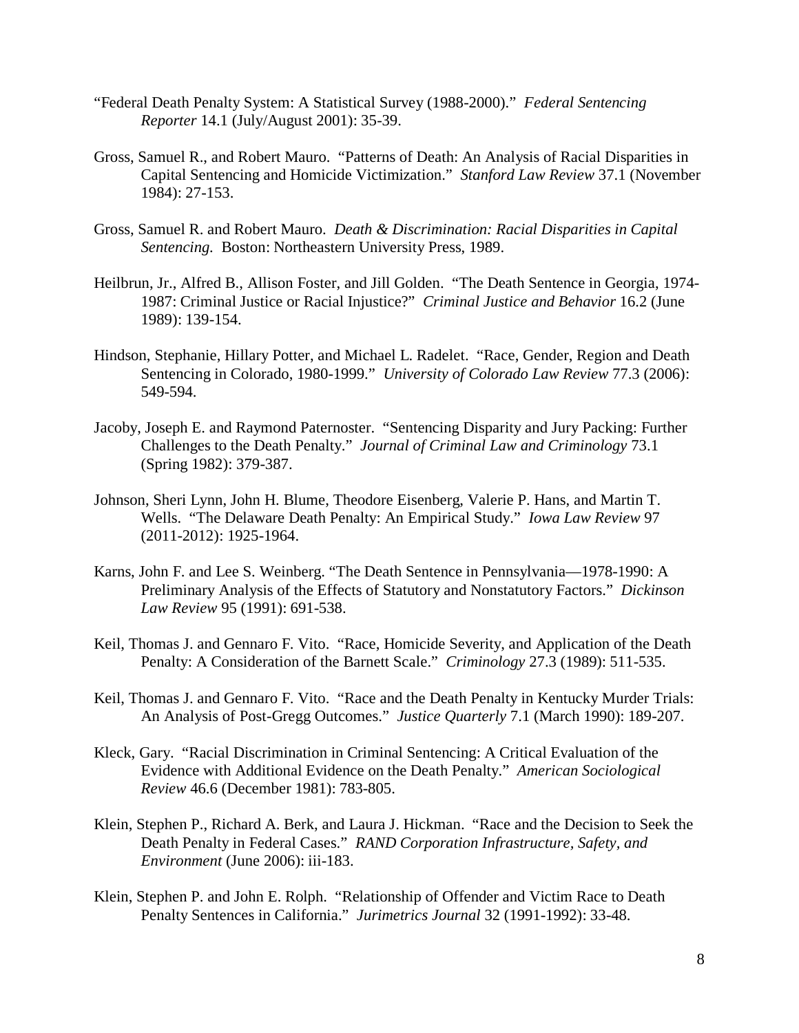- "Federal Death Penalty System: A Statistical Survey (1988-2000)." *Federal Sentencing Reporter* 14.1 (July/August 2001): 35-39.
- Gross, Samuel R., and Robert Mauro. "Patterns of Death: An Analysis of Racial Disparities in Capital Sentencing and Homicide Victimization." *Stanford Law Review* 37.1 (November 1984): 27-153.
- Gross, Samuel R. and Robert Mauro. *Death & Discrimination: Racial Disparities in Capital Sentencing.* Boston: Northeastern University Press, 1989.
- Heilbrun, Jr., Alfred B., Allison Foster, and Jill Golden. "The Death Sentence in Georgia, 1974- 1987: Criminal Justice or Racial Injustice?" *Criminal Justice and Behavior* 16.2 (June 1989): 139-154.
- Hindson, Stephanie, Hillary Potter, and Michael L. Radelet. "Race, Gender, Region and Death Sentencing in Colorado, 1980-1999." *University of Colorado Law Review* 77.3 (2006): 549-594.
- Jacoby, Joseph E. and Raymond Paternoster. "Sentencing Disparity and Jury Packing: Further Challenges to the Death Penalty." *Journal of Criminal Law and Criminology* 73.1 (Spring 1982): 379-387.
- Johnson, Sheri Lynn, John H. Blume, Theodore Eisenberg, Valerie P. Hans, and Martin T. Wells. "The Delaware Death Penalty: An Empirical Study." *Iowa Law Review* 97 (2011-2012): 1925-1964.
- Karns, John F. and Lee S. Weinberg. "The Death Sentence in Pennsylvania—1978-1990: A Preliminary Analysis of the Effects of Statutory and Nonstatutory Factors." *Dickinson Law Review* 95 (1991): 691-538.
- Keil, Thomas J. and Gennaro F. Vito. "Race, Homicide Severity, and Application of the Death Penalty: A Consideration of the Barnett Scale." *Criminology* 27.3 (1989): 511-535.
- Keil, Thomas J. and Gennaro F. Vito. "Race and the Death Penalty in Kentucky Murder Trials: An Analysis of Post-Gregg Outcomes." *Justice Quarterly* 7.1 (March 1990): 189-207.
- Kleck, Gary. "Racial Discrimination in Criminal Sentencing: A Critical Evaluation of the Evidence with Additional Evidence on the Death Penalty." *American Sociological Review* 46.6 (December 1981): 783-805.
- Klein, Stephen P., Richard A. Berk, and Laura J. Hickman. "Race and the Decision to Seek the Death Penalty in Federal Cases." *RAND Corporation Infrastructure, Safety, and Environment* (June 2006): iii-183.
- Klein, Stephen P. and John E. Rolph. "Relationship of Offender and Victim Race to Death Penalty Sentences in California." *Jurimetrics Journal* 32 (1991-1992): 33-48.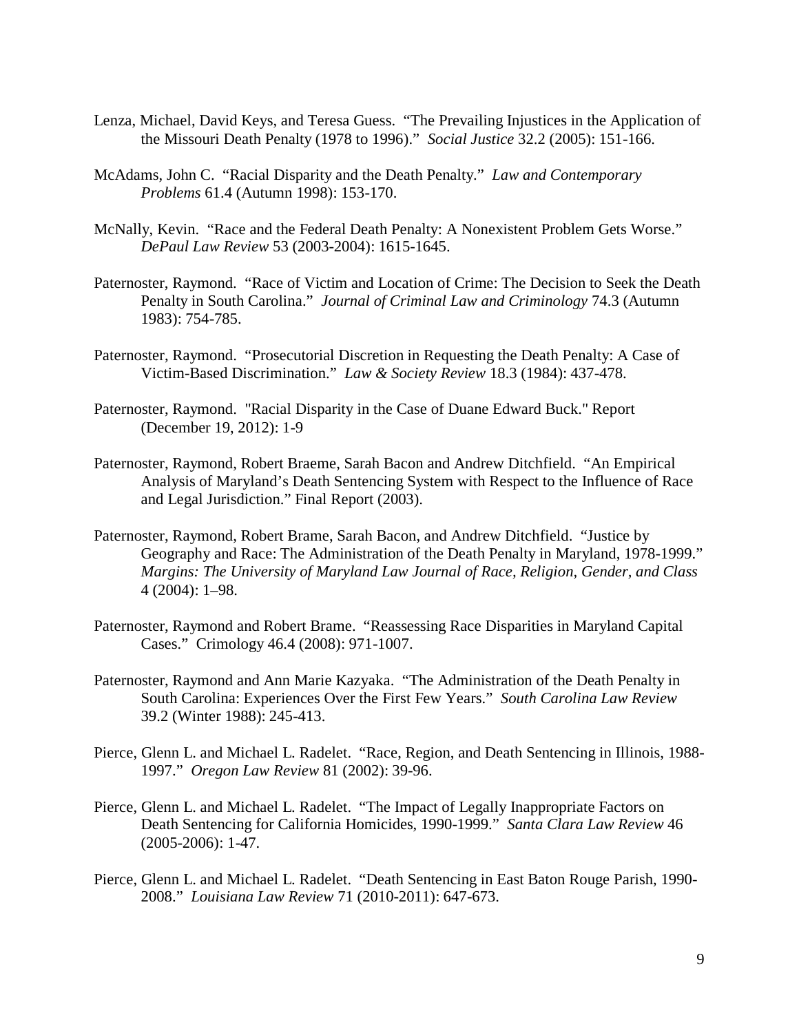- Lenza, Michael, David Keys, and Teresa Guess. "The Prevailing Injustices in the Application of the Missouri Death Penalty (1978 to 1996)." *Social Justice* 32.2 (2005): 151-166.
- McAdams, John C. "Racial Disparity and the Death Penalty." *Law and Contemporary Problems* 61.4 (Autumn 1998): 153-170.
- McNally, Kevin. "Race and the Federal Death Penalty: A Nonexistent Problem Gets Worse." *DePaul Law Review* 53 (2003-2004): 1615-1645.
- Paternoster, Raymond. "Race of Victim and Location of Crime: The Decision to Seek the Death Penalty in South Carolina." *Journal of Criminal Law and Criminology* 74.3 (Autumn 1983): 754-785.
- Paternoster, Raymond. "Prosecutorial Discretion in Requesting the Death Penalty: A Case of Victim-Based Discrimination." *Law & Society Review* 18.3 (1984): 437-478.
- Paternoster, Raymond. "Racial Disparity in the Case of Duane Edward Buck." Report (December 19, 2012): 1-9
- Paternoster, Raymond, Robert Braeme, Sarah Bacon and Andrew Ditchfield. "An Empirical Analysis of Maryland's Death Sentencing System with Respect to the Influence of Race and Legal Jurisdiction." Final Report (2003).
- Paternoster, Raymond, Robert Brame, Sarah Bacon, and Andrew Ditchfield. "Justice by Geography and Race: The Administration of the Death Penalty in Maryland, 1978-1999." *Margins: The University of Maryland Law Journal of Race, Religion, Gender, and Class* 4 (2004): 1–98.
- Paternoster, Raymond and Robert Brame. "Reassessing Race Disparities in Maryland Capital Cases." Crimology 46.4 (2008): 971-1007.
- Paternoster, Raymond and Ann Marie Kazyaka. "The Administration of the Death Penalty in South Carolina: Experiences Over the First Few Years." *South Carolina Law Review* 39.2 (Winter 1988): 245-413.
- Pierce, Glenn L. and Michael L. Radelet. "Race, Region, and Death Sentencing in Illinois, 1988- 1997." *Oregon Law Review* 81 (2002): 39-96.
- Pierce, Glenn L. and Michael L. Radelet. "The Impact of Legally Inappropriate Factors on Death Sentencing for California Homicides, 1990-1999." *Santa Clara Law Review* 46 (2005-2006): 1-47.
- Pierce, Glenn L. and Michael L. Radelet. "Death Sentencing in East Baton Rouge Parish, 1990- 2008." *Louisiana Law Review* 71 (2010-2011): 647-673.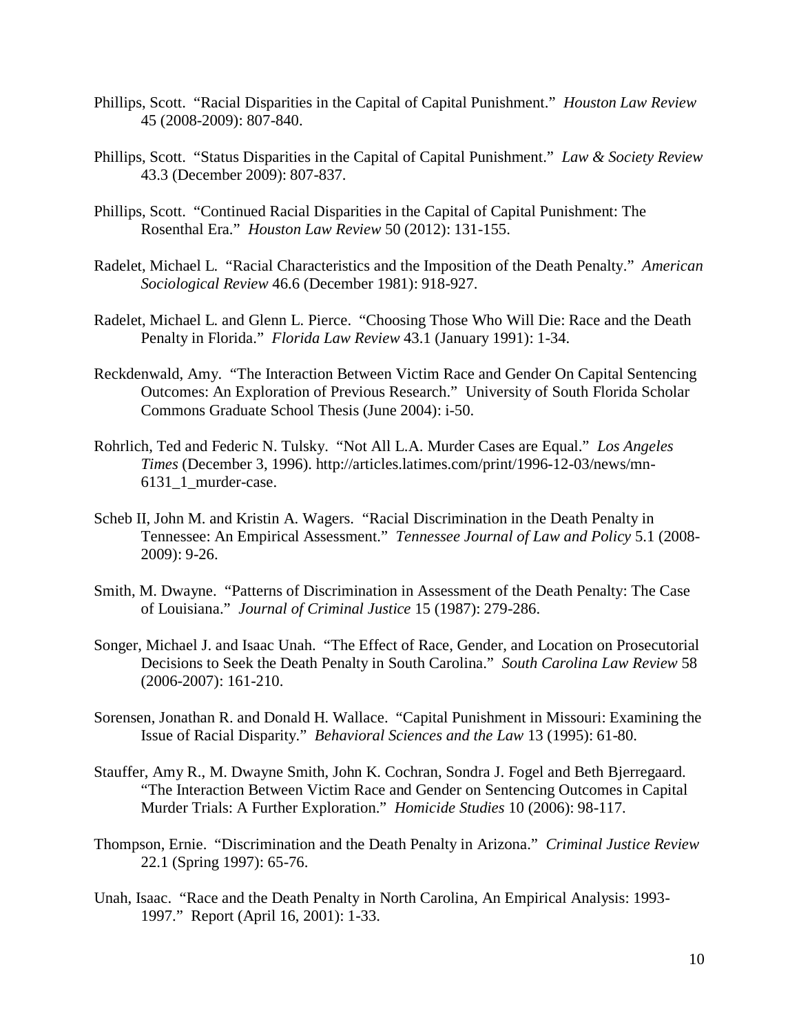- Phillips, Scott. "Racial Disparities in the Capital of Capital Punishment." *Houston Law Review* 45 (2008-2009): 807-840.
- Phillips, Scott. "Status Disparities in the Capital of Capital Punishment." *Law & Society Review* 43.3 (December 2009): 807-837.
- Phillips, Scott. "Continued Racial Disparities in the Capital of Capital Punishment: The Rosenthal Era." *Houston Law Review* 50 (2012): 131-155.
- Radelet, Michael L. "Racial Characteristics and the Imposition of the Death Penalty." *American Sociological Review* 46.6 (December 1981): 918-927.
- Radelet, Michael L. and Glenn L. Pierce. "Choosing Those Who Will Die: Race and the Death Penalty in Florida." *Florida Law Review* 43.1 (January 1991): 1-34.
- Reckdenwald, Amy. "The Interaction Between Victim Race and Gender On Capital Sentencing Outcomes: An Exploration of Previous Research." University of South Florida Scholar Commons Graduate School Thesis (June 2004): i-50.
- Rohrlich, Ted and Federic N. Tulsky. "Not All L.A. Murder Cases are Equal." *Los Angeles Times* (December 3, 1996). http://articles.latimes.com/print/1996-12-03/news/mn-6131\_1\_murder-case.
- Scheb II, John M. and Kristin A. Wagers. "Racial Discrimination in the Death Penalty in Tennessee: An Empirical Assessment." *Tennessee Journal of Law and Policy* 5.1 (2008- 2009): 9-26.
- Smith, M. Dwayne. "Patterns of Discrimination in Assessment of the Death Penalty: The Case of Louisiana." *Journal of Criminal Justice* 15 (1987): 279-286.
- Songer, Michael J. and Isaac Unah. "The Effect of Race, Gender, and Location on Prosecutorial Decisions to Seek the Death Penalty in South Carolina." *South Carolina Law Review* 58 (2006-2007): 161-210.
- Sorensen, Jonathan R. and Donald H. Wallace. "Capital Punishment in Missouri: Examining the Issue of Racial Disparity." *Behavioral Sciences and the Law* 13 (1995): 61-80.
- Stauffer, Amy R., M. Dwayne Smith, John K. Cochran, Sondra J. Fogel and Beth Bjerregaard. "The Interaction Between Victim Race and Gender on Sentencing Outcomes in Capital Murder Trials: A Further Exploration." *Homicide Studies* 10 (2006): 98-117.
- Thompson, Ernie. "Discrimination and the Death Penalty in Arizona." *Criminal Justice Review* 22.1 (Spring 1997): 65-76.
- Unah, Isaac. "Race and the Death Penalty in North Carolina, An Empirical Analysis: 1993- 1997." Report (April 16, 2001): 1-33.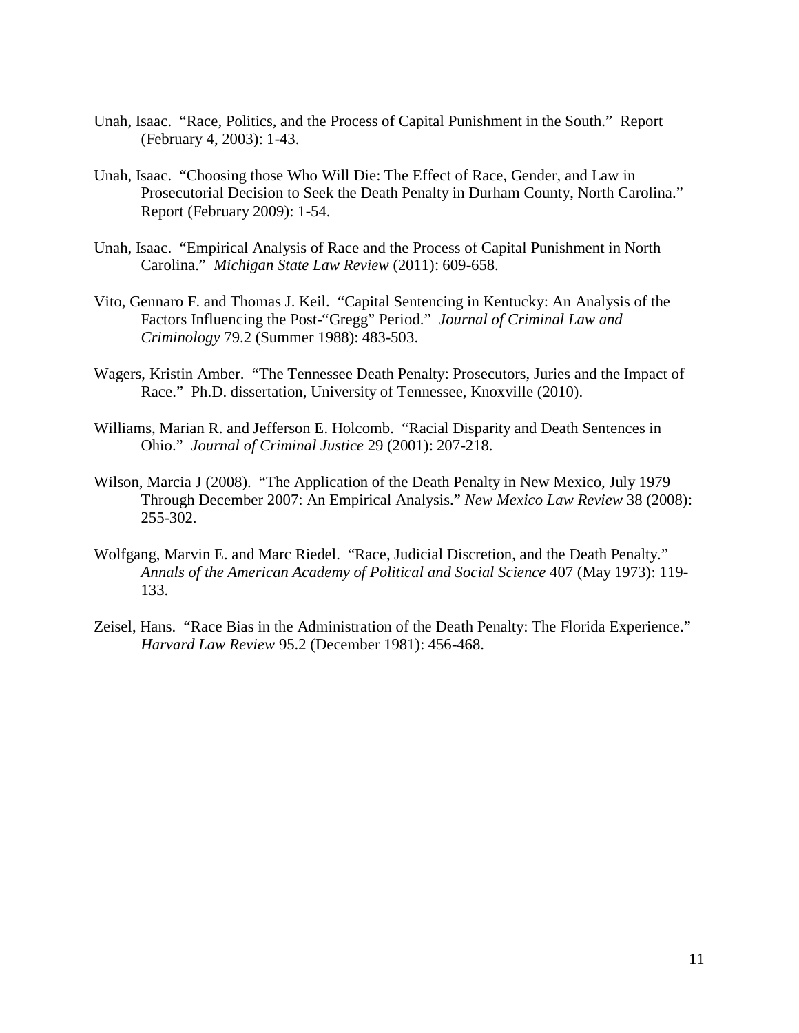- Unah, Isaac. "Race, Politics, and the Process of Capital Punishment in the South." Report (February 4, 2003): 1-43.
- Unah, Isaac. "Choosing those Who Will Die: The Effect of Race, Gender, and Law in Prosecutorial Decision to Seek the Death Penalty in Durham County, North Carolina." Report (February 2009): 1-54.
- Unah, Isaac. "Empirical Analysis of Race and the Process of Capital Punishment in North Carolina." *Michigan State Law Review* (2011): 609-658.
- Vito, Gennaro F. and Thomas J. Keil. "Capital Sentencing in Kentucky: An Analysis of the Factors Influencing the Post-"Gregg" Period." *Journal of Criminal Law and Criminology* 79.2 (Summer 1988): 483-503.
- Wagers, Kristin Amber. "The Tennessee Death Penalty: Prosecutors, Juries and the Impact of Race." Ph.D. dissertation, University of Tennessee, Knoxville (2010).
- Williams, Marian R. and Jefferson E. Holcomb. "Racial Disparity and Death Sentences in Ohio." *Journal of Criminal Justice* 29 (2001): 207-218.
- Wilson, Marcia J (2008). "The Application of the Death Penalty in New Mexico, July 1979 Through December 2007: An Empirical Analysis." *New Mexico Law Review* 38 (2008): 255-302.
- Wolfgang, Marvin E. and Marc Riedel. "Race, Judicial Discretion, and the Death Penalty." *Annals of the American Academy of Political and Social Science* 407 (May 1973): 119- 133.
- Zeisel, Hans. "Race Bias in the Administration of the Death Penalty: The Florida Experience." *Harvard Law Review* 95.2 (December 1981): 456-468.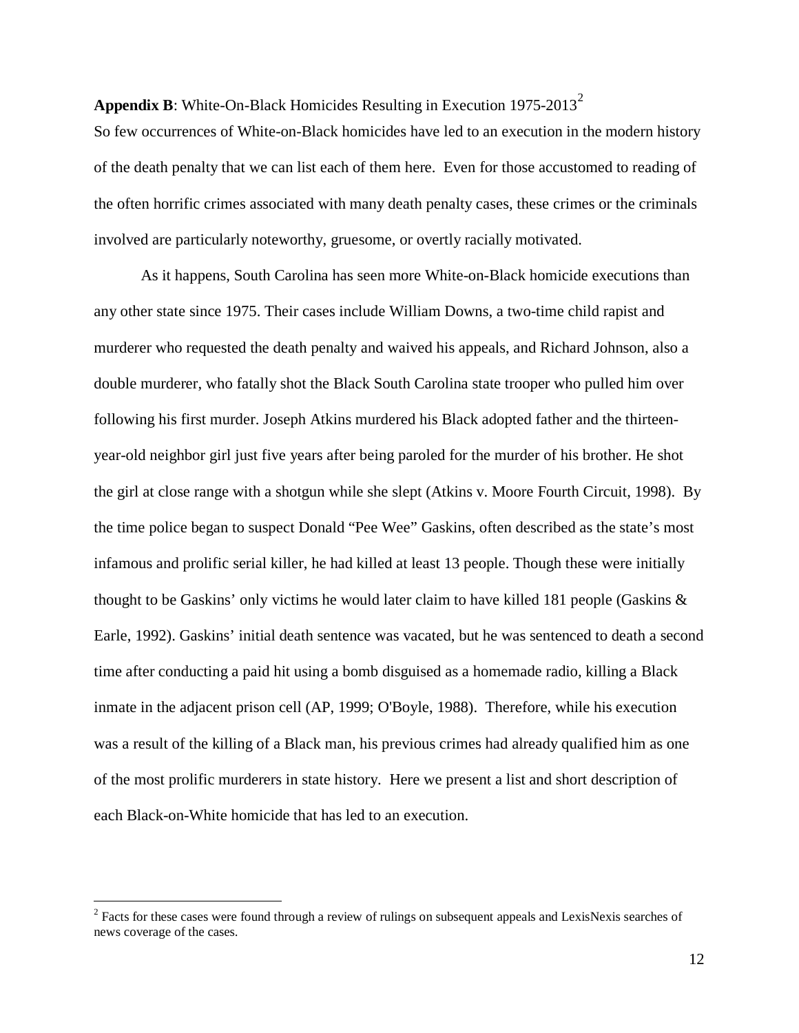**Appendix B**: White-On-Black Homicides Resulting in Execution 1975-[2](#page-11-0)013<sup>2</sup>

So few occurrences of White-on-Black homicides have led to an execution in the modern history of the death penalty that we can list each of them here. Even for those accustomed to reading of the often horrific crimes associated with many death penalty cases, these crimes or the criminals involved are particularly noteworthy, gruesome, or overtly racially motivated.

As it happens, South Carolina has seen more White-on-Black homicide executions than any other state since 1975. Their cases include William Downs, a two-time child rapist and murderer who requested the death penalty and waived his appeals, and Richard Johnson, also a double murderer, who fatally shot the Black South Carolina state trooper who pulled him over following his first murder. Joseph Atkins murdered his Black adopted father and the thirteenyear-old neighbor girl just five years after being paroled for the murder of his brother. He shot the girl at close range with a shotgun while she slept (Atkins v. Moore Fourth Circuit, 1998). By the time police began to suspect Donald "Pee Wee" Gaskins, often described as the state's most infamous and prolific serial killer, he had killed at least 13 people. Though these were initially thought to be Gaskins' only victims he would later claim to have killed 181 people (Gaskins & Earle, 1992). Gaskins' initial death sentence was vacated, but he was sentenced to death a second time after conducting a paid hit using a bomb disguised as a homemade radio, killing a Black inmate in the adjacent prison cell (AP, 1999; O'Boyle, 1988). Therefore, while his execution was a result of the killing of a Black man, his previous crimes had already qualified him as one of the most prolific murderers in state history. Here we present a list and short description of each Black-on-White homicide that has led to an execution.

 $\overline{a}$ 

<span id="page-11-0"></span><sup>&</sup>lt;sup>2</sup> Facts for these cases were found through a review of rulings on subsequent appeals and LexisNexis searches of news coverage of the cases.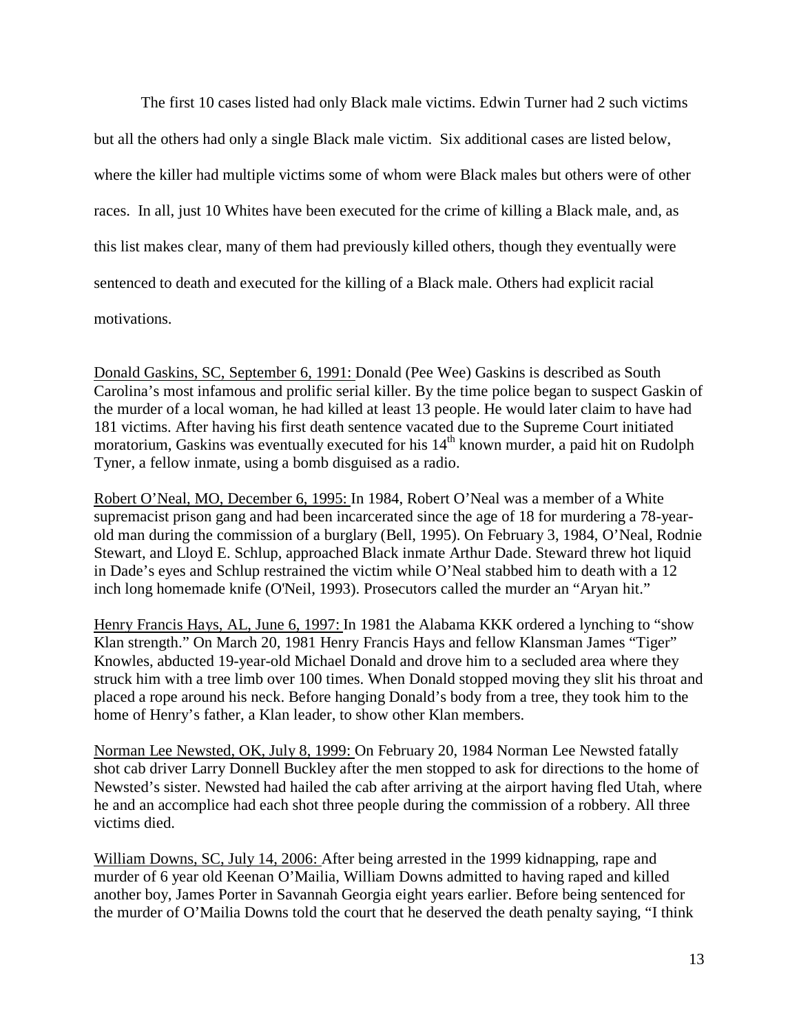The first 10 cases listed had only Black male victims. Edwin Turner had 2 such victims but all the others had only a single Black male victim. Six additional cases are listed below, where the killer had multiple victims some of whom were Black males but others were of other races. In all, just 10 Whites have been executed for the crime of killing a Black male, and, as this list makes clear, many of them had previously killed others, though they eventually were sentenced to death and executed for the killing of a Black male. Others had explicit racial motivations.

Donald Gaskins, SC, September 6, 1991: Donald (Pee Wee) Gaskins is described as South Carolina's most infamous and prolific serial killer. By the time police began to suspect Gaskin of the murder of a local woman, he had killed at least 13 people. He would later claim to have had 181 victims. After having his first death sentence vacated due to the Supreme Court initiated moratorium, Gaskins was eventually executed for his 14<sup>th</sup> known murder, a paid hit on Rudolph Tyner, a fellow inmate, using a bomb disguised as a radio.

Robert O'Neal, MO, December 6, 1995: In 1984, Robert O'Neal was a member of a White supremacist prison gang and had been incarcerated since the age of 18 for murdering a 78-yearold man during the commission of a burglary (Bell, 1995). On February 3, 1984, O'Neal, Rodnie Stewart, and Lloyd E. Schlup, approached Black inmate Arthur Dade. Steward threw hot liquid in Dade's eyes and Schlup restrained the victim while O'Neal stabbed him to death with a 12 inch long homemade knife (O'Neil, 1993). Prosecutors called the murder an "Aryan hit."

Henry Francis Hays, AL, June 6, 1997: In 1981 the Alabama KKK ordered a lynching to "show Klan strength." On March 20, 1981 Henry Francis Hays and fellow Klansman James "Tiger" Knowles, abducted 19-year-old Michael Donald and drove him to a secluded area where they struck him with a tree limb over 100 times. When Donald stopped moving they slit his throat and placed a rope around his neck. Before hanging Donald's body from a tree, they took him to the home of Henry's father, a Klan leader, to show other Klan members.

Norman Lee Newsted, OK, July 8, 1999: On February 20, 1984 Norman Lee Newsted fatally shot cab driver Larry Donnell Buckley after the men stopped to ask for directions to the home of Newsted's sister. Newsted had hailed the cab after arriving at the airport having fled Utah, where he and an accomplice had each shot three people during the commission of a robbery. All three victims died.

William Downs, SC, July 14, 2006: After being arrested in the 1999 kidnapping, rape and murder of 6 year old Keenan O'Mailia, William Downs admitted to having raped and killed another boy, James Porter in Savannah Georgia eight years earlier. Before being sentenced for the murder of O'Mailia Downs told the court that he deserved the death penalty saying, "I think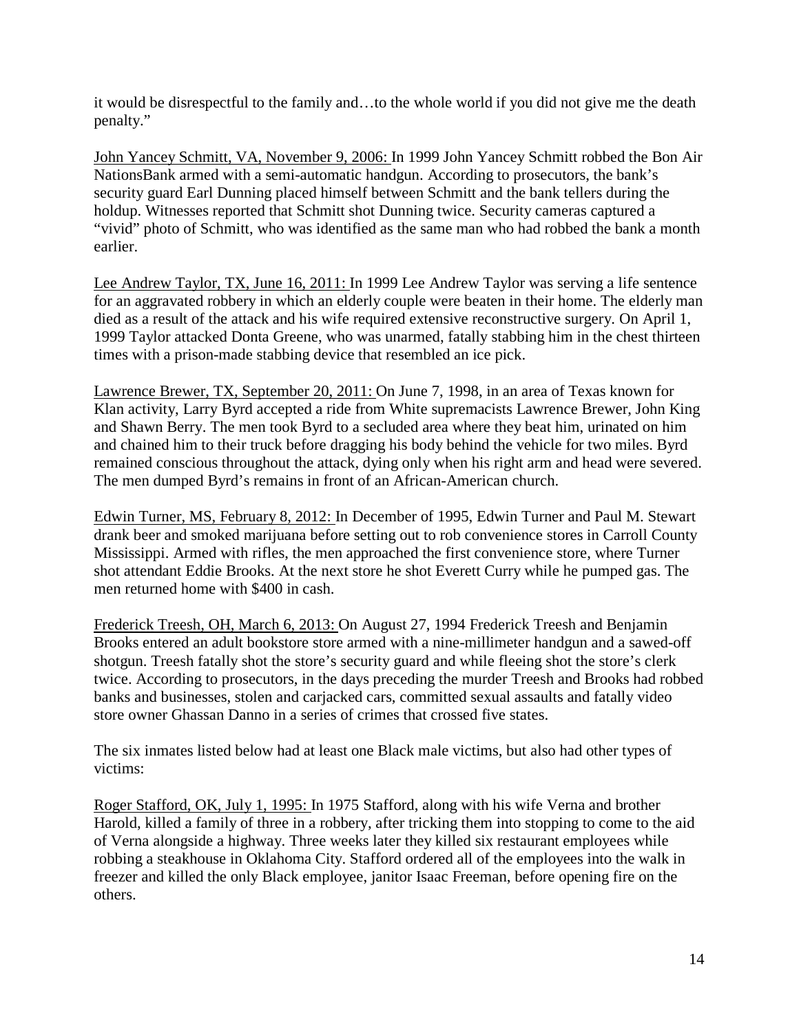it would be disrespectful to the family and…to the whole world if you did not give me the death penalty."

John Yancey Schmitt, VA, November 9, 2006: In 1999 John Yancey Schmitt robbed the Bon Air NationsBank armed with a semi-automatic handgun. According to prosecutors, the bank's security guard Earl Dunning placed himself between Schmitt and the bank tellers during the holdup. Witnesses reported that Schmitt shot Dunning twice. Security cameras captured a "vivid" photo of Schmitt, who was identified as the same man who had robbed the bank a month earlier.

Lee Andrew Taylor, TX, June 16, 2011: In 1999 Lee Andrew Taylor was serving a life sentence for an aggravated robbery in which an elderly couple were beaten in their home. The elderly man died as a result of the attack and his wife required extensive reconstructive surgery. On April 1, 1999 Taylor attacked Donta Greene, who was unarmed, fatally stabbing him in the chest thirteen times with a prison-made stabbing device that resembled an ice pick.

Lawrence Brewer, TX, September 20, 2011: On June 7, 1998, in an area of Texas known for Klan activity, Larry Byrd accepted a ride from White supremacists Lawrence Brewer, John King and Shawn Berry. The men took Byrd to a secluded area where they beat him, urinated on him and chained him to their truck before dragging his body behind the vehicle for two miles. Byrd remained conscious throughout the attack, dying only when his right arm and head were severed. The men dumped Byrd's remains in front of an African-American church.

Edwin Turner, MS, February 8, 2012: In December of 1995, Edwin Turner and Paul M. Stewart drank beer and smoked marijuana before setting out to rob convenience stores in Carroll County Mississippi. Armed with rifles, the men approached the first convenience store, where Turner shot attendant Eddie Brooks. At the next store he shot Everett Curry while he pumped gas. The men returned home with \$400 in cash.

Frederick Treesh, OH, March 6, 2013: On August 27, 1994 Frederick Treesh and Benjamin Brooks entered an adult bookstore store armed with a nine-millimeter handgun and a sawed-off shotgun. Treesh fatally shot the store's security guard and while fleeing shot the store's clerk twice. According to prosecutors, in the days preceding the murder Treesh and Brooks had robbed banks and businesses, stolen and carjacked cars, committed sexual assaults and fatally video store owner Ghassan Danno in a series of crimes that crossed five states.

The six inmates listed below had at least one Black male victims, but also had other types of victims:

Roger Stafford, OK, July 1, 1995: In 1975 Stafford, along with his wife Verna and brother Harold, killed a family of three in a robbery, after tricking them into stopping to come to the aid of Verna alongside a highway. Three weeks later they killed six restaurant employees while robbing a steakhouse in Oklahoma City. Stafford ordered all of the employees into the walk in freezer and killed the only Black employee, janitor Isaac Freeman, before opening fire on the others.